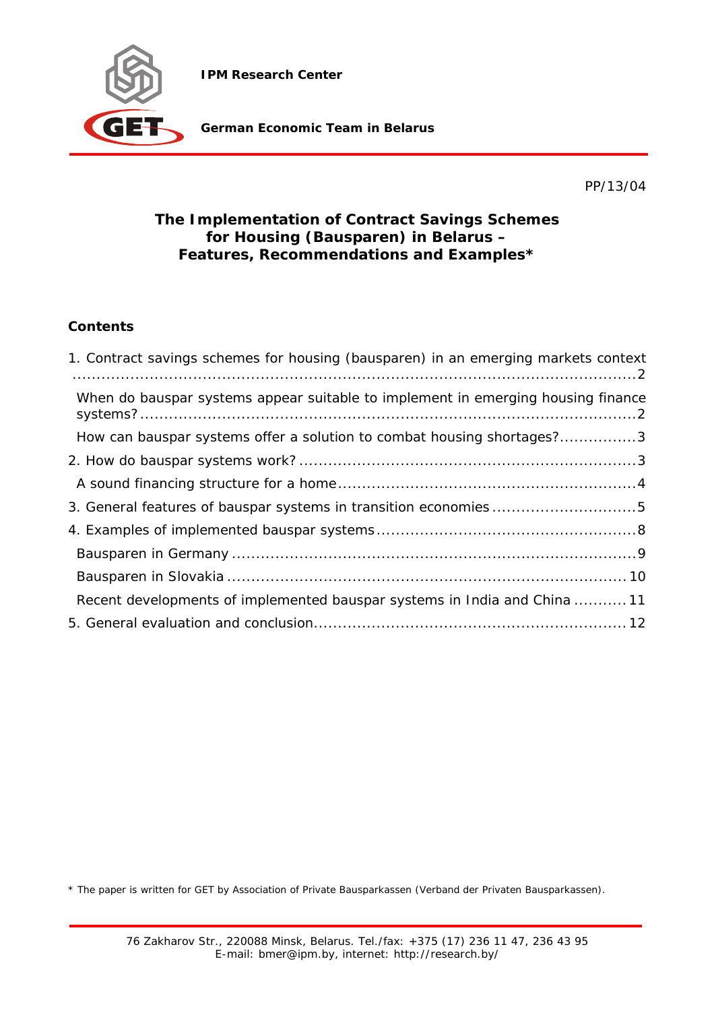**IPM Research Center** 



**German Economic Team in Belarus** 

PP/13/04

# **The Implementation of Contract Savings Schemes for Housing (Bausparen) in Belarus – Features, Recommendations and Examples\***

# **Contents**

| 1. Contract savings schemes for housing (bausparen) in an emerging markets context |
|------------------------------------------------------------------------------------|
| When do bauspar systems appear suitable to implement in emerging housing finance   |
| How can bauspar systems offer a solution to combat housing shortages?3             |
|                                                                                    |
|                                                                                    |
| 3. General features of bauspar systems in transition economies5                    |
|                                                                                    |
|                                                                                    |
|                                                                                    |
| Recent developments of implemented bauspar systems in India and China 11           |
|                                                                                    |

\* The paper is written for GET by Association of Private Bausparkassen (Verband der Privaten Bausparkassen).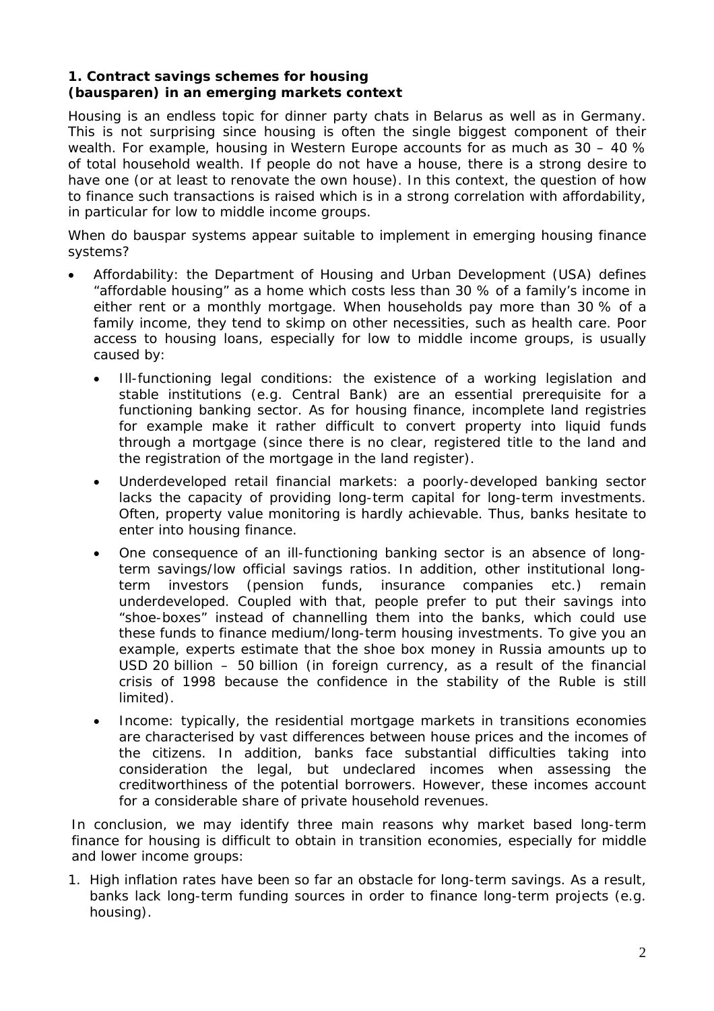## **1. Contract savings schemes for housing (bausparen) in an emerging markets context**

Housing is an endless topic for dinner party chats in Belarus as well as in Germany. This is not surprising since housing is often the single biggest component of their wealth. For example, housing in Western Europe accounts for as much as 30 – 40 % of total household wealth. If people do not have a house, there is a strong desire to have one (or at least to renovate the own house). In this context, the question of how to finance such transactions is raised which is in a strong correlation with affordability, in particular for low to middle income groups.

*When do bauspar systems appear suitable to implement in emerging housing finance systems?* 

- Affordability: the Department of Housing and Urban Development (USA) defines "affordable housing" as a home which costs less than 30 % of a family's income in either rent or a monthly mortgage. When households pay more than 30 % of a family income, they tend to skimp on other necessities, such as health care. Poor access to housing loans, especially for low to middle income groups, is usually caused by:
	- Ill-functioning legal conditions: the existence of a working legislation and stable institutions (e.g. Central Bank) are an essential prerequisite for a functioning banking sector. As for housing finance, incomplete land registries for example make it rather difficult to convert property into liquid funds through a mortgage (since there is no clear, registered title to the land and the registration of the mortgage in the land register).
	- Underdeveloped retail financial markets: a poorly-developed banking sector lacks the capacity of providing long-term capital for long-term investments. Often, property value monitoring is hardly achievable. Thus, banks hesitate to enter into housing finance.
	- One consequence of an ill-functioning banking sector is an absence of longterm savings/low official savings ratios. In addition, other institutional longterm investors (pension funds, insurance companies etc.) remain underdeveloped. Coupled with that, people prefer to put their savings into "shoe-boxes" instead of channelling them into the banks, which could use these funds to finance medium/long-term housing investments. To give you an example, experts estimate that the shoe box money in Russia amounts up to USD 20 billion – 50 billion (in foreign currency, as a result of the financial crisis of 1998 because the confidence in the stability of the Ruble is still limited).
	- Income: typically, the residential mortgage markets in transitions economies are characterised by vast differences between house prices and the incomes of the citizens. In addition, banks face substantial difficulties taking into consideration the legal, but undeclared incomes when assessing the creditworthiness of the potential borrowers. However, these incomes account for a considerable share of private household revenues.

In conclusion, we may identify three main reasons why market based long-term finance for housing is difficult to obtain in transition economies, especially for middle and lower income groups:

1. High inflation rates have been so far an obstacle for long-term savings. As a result, banks lack long-term funding sources in order to finance long-term projects (e.g. housing).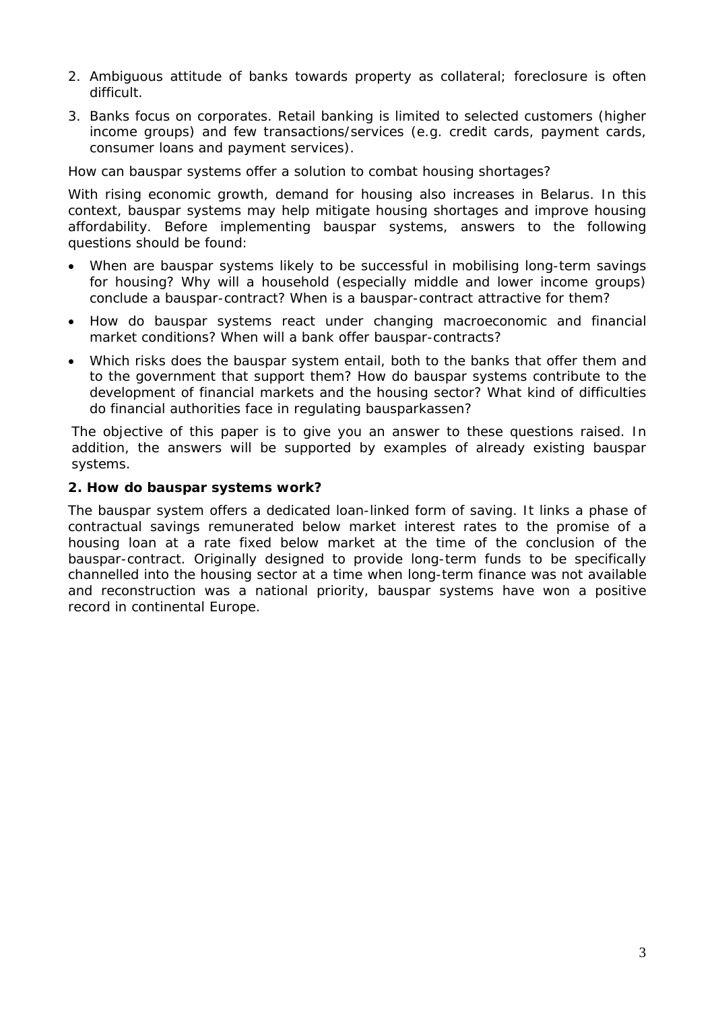- 2. Ambiguous attitude of banks towards property as collateral; foreclosure is often difficult.
- 3. Banks focus on corporates. Retail banking is limited to selected customers (higher income groups) and few transactions/services (e.g. credit cards, payment cards, consumer loans and payment services).

## *How can bauspar systems offer a solution to combat housing shortages?*

With rising economic growth, demand for housing also increases in Belarus. In this context, bauspar systems may help mitigate housing shortages and improve housing affordability. Before implementing bauspar systems, answers to the following questions should be found:

- When are bauspar systems likely to be successful in mobilising long-term savings for housing? Why will a household (especially middle and lower income groups) conclude a bauspar-contract? When is a bauspar-contract attractive for them?
- How do bauspar systems react under changing macroeconomic and financial market conditions? When will a bank offer bauspar-contracts?
- Which risks does the bauspar system entail, both to the banks that offer them and to the government that support them? How do bauspar systems contribute to the development of financial markets and the housing sector? What kind of difficulties do financial authorities face in regulating bausparkassen?

The objective of this paper is to give you an answer to these questions raised. In addition, the answers will be supported by examples of already existing bauspar systems.

## **2. How do bauspar systems work?**

The bauspar system offers a dedicated loan-linked form of saving. It links a phase of contractual savings remunerated below market interest rates to the promise of a housing loan at a rate fixed below market at the time of the conclusion of the bauspar-contract. Originally designed to provide long-term funds to be specifically channelled into the housing sector at a time when long-term finance was not available and reconstruction was a national priority, bauspar systems have won a positive record in continental Europe.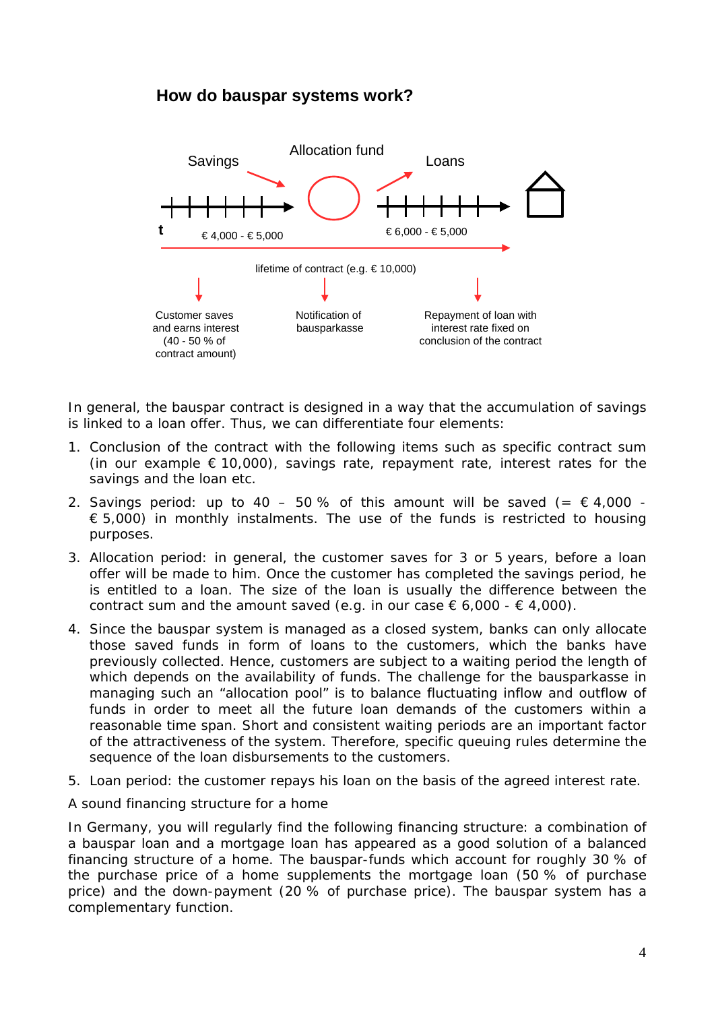# **How do bauspar systems work?**



In general, the bauspar contract is designed in a way that the accumulation of savings is linked to a loan offer. Thus, we can differentiate four elements:

- 1. Conclusion of the contract with the following items such as specific contract sum (in our example  $\epsilon$  10,000), savings rate, repayment rate, interest rates for the savings and the loan etc.
- 2. Savings period: up to 40 50% of this amount will be saved (=  $\epsilon$  4,000 - $\epsilon$  5,000) in monthly instalments. The use of the funds is restricted to housing purposes.
- 3. Allocation period: in general, the customer saves for 3 or 5 years, before a loan offer will be made to him. Once the customer has completed the savings period, he is entitled to a loan. The size of the loan is usually the difference between the contract sum and the amount saved (e.g. in our case  $\epsilon$  6,000 -  $\epsilon$  4,000).
- 4. Since the bauspar system is managed as a closed system, banks can only allocate those saved funds in form of loans to the customers, which the banks have previously collected. Hence, customers are subject to a waiting period the length of which depends on the availability of funds. The challenge for the bausparkasse in managing such an "allocation pool" is to balance fluctuating inflow and outflow of funds in order to meet all the future loan demands of the customers within a reasonable time span. Short and consistent waiting periods are an important factor of the attractiveness of the system. Therefore, specific queuing rules determine the sequence of the loan disbursements to the customers.
- 5. Loan period: the customer repays his loan on the basis of the agreed interest rate.

#### *A sound financing structure for a home*

In Germany, you will regularly find the following financing structure: a combination of a bauspar loan and a mortgage loan has appeared as a good solution of a balanced financing structure of a home. The bauspar-funds which account for roughly 30 % of the purchase price of a home supplements the mortgage loan (50 % of purchase price) and the down-payment (20 % of purchase price). The bauspar system has a complementary function.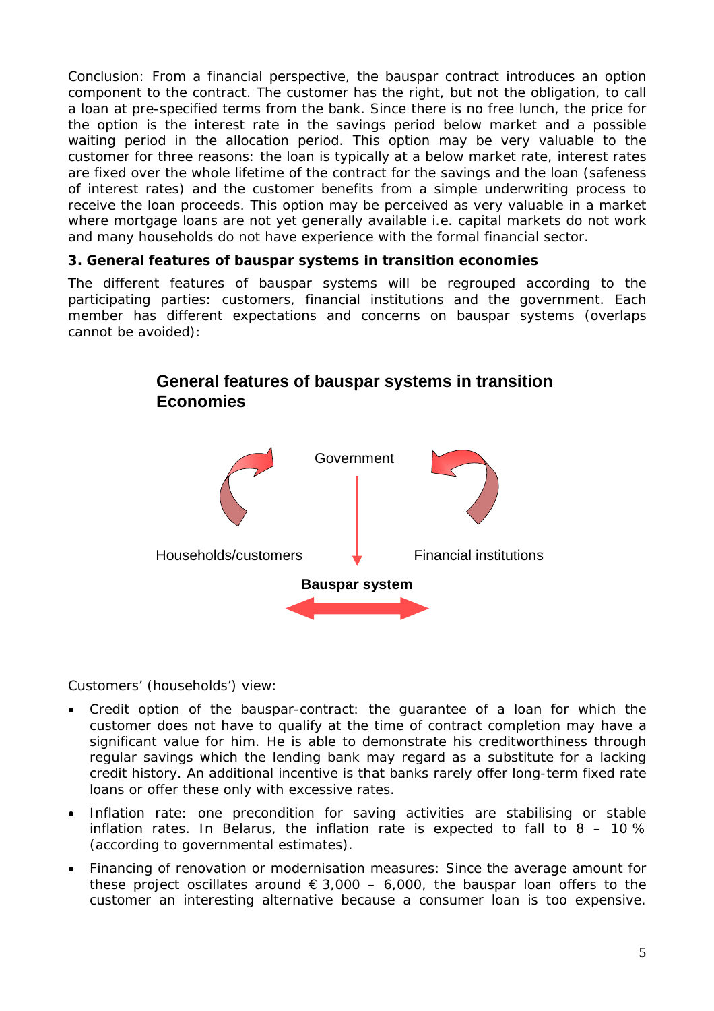*Conclusion:* From a financial perspective, the bauspar contract introduces an option component to the contract. The customer has the right, but not the obligation, to call a loan at pre-specified terms from the bank. Since there is no free lunch, the price for the option is the interest rate in the savings period below market and a possible waiting period in the allocation period. This option may be very valuable to the customer for three reasons: the loan is typically at a below market rate, interest rates are fixed over the whole lifetime of the contract for the savings and the loan (safeness of interest rates) and the customer benefits from a simple underwriting process to receive the loan proceeds. This option may be perceived as very valuable in a market where mortgage loans are not yet generally available i.e. capital markets do not work and many households do not have experience with the formal financial sector.

## **3. General features of bauspar systems in transition economies**

The different features of bauspar systems will be regrouped according to the participating parties: customers, financial institutions and the government. Each member has different expectations and concerns on bauspar systems (overlaps cannot be avoided):



# **General features of bauspar systems in transition Economies**

## *Customers' (households') view:*

- Credit option of the bauspar-contract: the guarantee of a loan for which the customer does not have to qualify at the time of contract completion may have a significant value for him. He is able to demonstrate his creditworthiness through regular savings which the lending bank may regard as a substitute for a lacking credit history. An additional incentive is that banks rarely offer long-term fixed rate loans or offer these only with excessive rates.
- Inflation rate: one precondition for saving activities are stabilising or stable inflation rates. In Belarus, the inflation rate is expected to fall to  $8 - 10\%$ (according to governmental estimates).
- Financing of renovation or modernisation measures: Since the average amount for these project oscillates around  $\epsilon$  3,000 – 6,000, the bauspar loan offers to the customer an interesting alternative because a consumer loan is too expensive.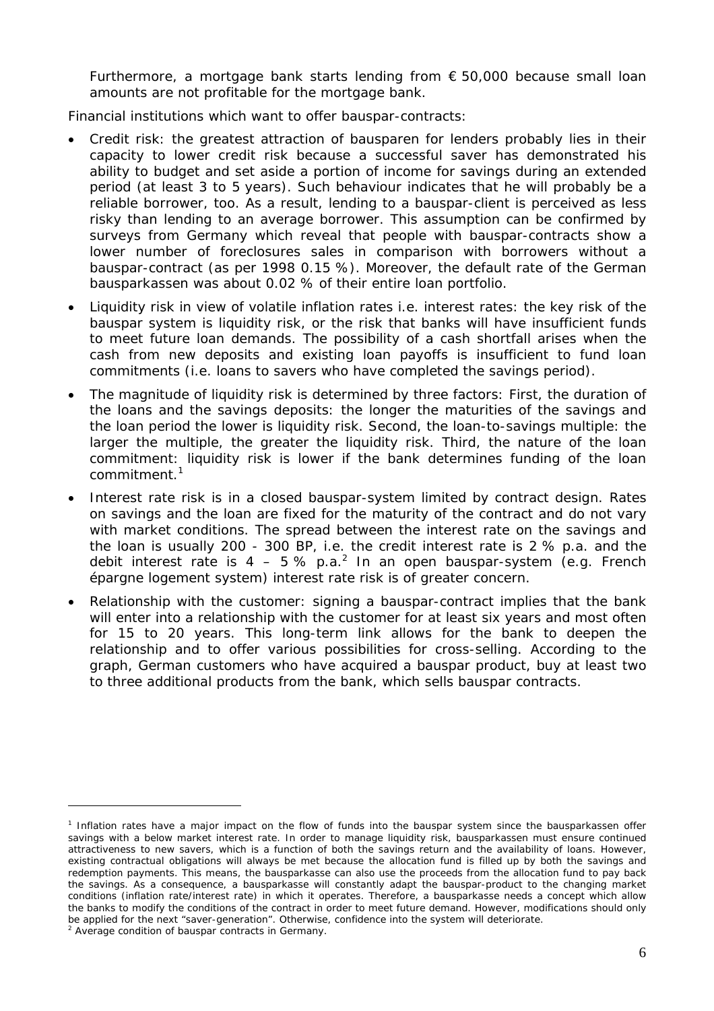Furthermore, a mortgage bank starts lending from  $\epsilon$  50,000 because small loan amounts are not profitable for the mortgage bank.

*Financial institutions which want to offer bauspar-contracts:* 

- Credit risk: the greatest attraction of bausparen for lenders probably lies in their capacity to lower credit risk because a successful saver has demonstrated his ability to budget and set aside a portion of income for savings during an extended period (at least 3 to 5 years). Such behaviour indicates that he will probably be a reliable borrower, too. As a result, lending to a bauspar-client is perceived as less risky than lending to an average borrower. This assumption can be confirmed by surveys from Germany which reveal that people with bauspar-contracts show a lower number of foreclosures sales in comparison with borrowers without a bauspar-contract (as per 1998 0.15 %). Moreover, the default rate of the German bausparkassen was about 0.02 % of their entire loan portfolio.
- Liquidity risk in view of volatile inflation rates i.e. interest rates: the key risk of the bauspar system is liquidity risk, or the risk that banks will have insufficient funds to meet future loan demands. The possibility of a cash shortfall arises when the cash from new deposits and existing loan payoffs is insufficient to fund loan commitments (i.e. loans to savers who have completed the savings period).
- The magnitude of liquidity risk is determined by three factors: First, the duration of the loans and the savings deposits: the longer the maturities of the savings and the loan period the lower is liquidity risk. Second, the loan-to-savings multiple: the larger the multiple, the greater the liquidity risk. Third, the nature of the loan commitment: liquidity risk is lower if the bank determines funding of the loan commitment.<sup>1</sup>
- Interest rate risk is in a closed bauspar-system limited by contract design. Rates on savings and the loan are fixed for the maturity of the contract and do not vary with market conditions. The spread between the interest rate on the savings and the loan is usually 200 - 300 BP, i.e. the credit interest rate is 2 % p.a. and the debit interest rate is 4 – 5 % p.a.<sup>2</sup> In an open bauspar-system (e.g. French épargne logement system) interest rate risk is of greater concern.
- Relationship with the customer: signing a bauspar-contract implies that the bank will enter into a relationship with the customer for at least six years and most often for 15 to 20 years. This long-term link allows for the bank to deepen the relationship and to offer various possibilities for cross-selling. According to the graph, German customers who have acquired a bauspar product, buy at least two to three additional products from the bank, which sells bauspar contracts.

 $\overline{a}$ 

<sup>&</sup>lt;sup>1</sup> Inflation rates have a major impact on the flow of funds into the bauspar system since the bausparkassen offer savings with a below market interest rate. In order to manage liquidity risk, bausparkassen must ensure continued attractiveness to new savers, which is a function of both the savings return and the availability of loans. However, existing contractual obligations will always be met because the allocation fund is filled up by both the savings and redemption payments. This means, the bausparkasse can also use the proceeds from the allocation fund to pay back the savings. As a consequence, a bausparkasse will constantly adapt the bauspar-product to the changing market conditions (inflation rate/interest rate) in which it operates. Therefore, a bausparkasse needs a concept which allow the banks to modify the conditions of the contract in order to meet future demand. However, modifications should only be applied for the next "saver-generation". Otherwise, confidence into the system will deteriorate.

<sup>&</sup>lt;sup>2</sup> Average condition of bauspar contracts in Germany.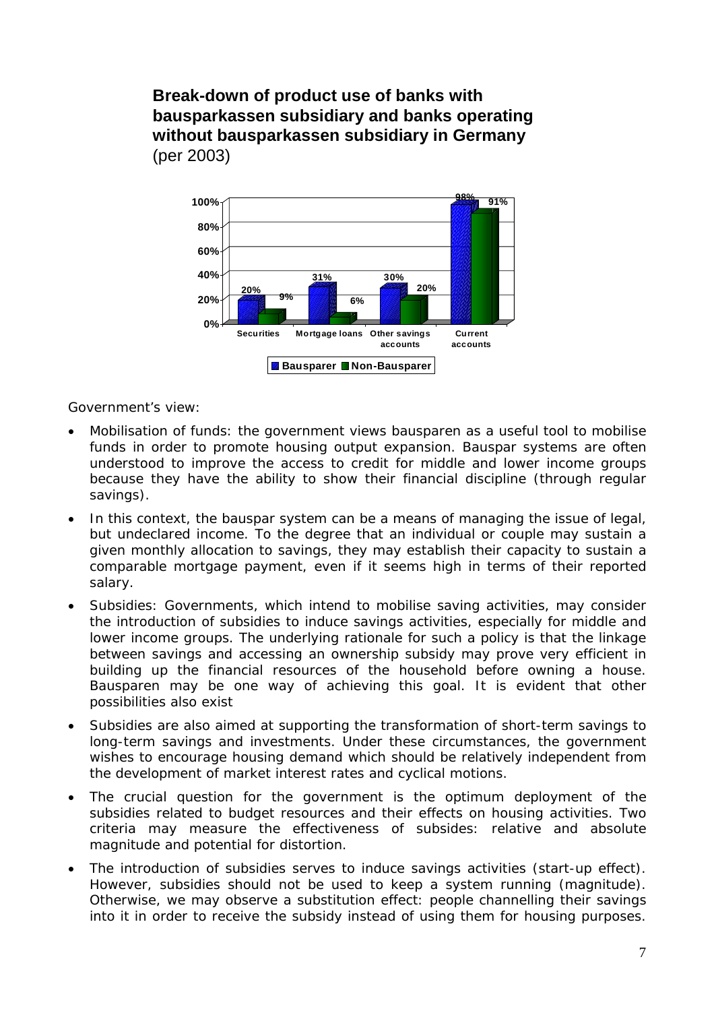**Break-down of product use of banks with bausparkassen subsidiary and banks operating without bausparkassen subsidiary in Germany** (per 2003)



*Government's view:* 

- Mobilisation of funds: the government views bausparen as a useful tool to mobilise funds in order to promote housing output expansion. Bauspar systems are often understood to improve the access to credit for middle and lower income groups because they have the ability to show their financial discipline (through regular savings).
- In this context, the bauspar system can be a means of managing the issue of legal, but undeclared income. To the degree that an individual or couple may sustain a given monthly allocation to savings, they may establish their capacity to sustain a comparable mortgage payment, even if it seems high in terms of their reported salary.
- Subsidies: Governments, which intend to mobilise saving activities, may consider the introduction of subsidies to induce savings activities, especially for middle and lower income groups. The underlying rationale for such a policy is that the linkage between savings and accessing an ownership subsidy may prove very efficient in building up the financial resources of the household before owning a house. Bausparen may be one way of achieving this goal. It is evident that other possibilities also exist
- Subsidies are also aimed at supporting the transformation of short-term savings to long-term savings and investments. Under these circumstances, the government wishes to encourage housing demand which should be relatively independent from the development of market interest rates and cyclical motions.
- The crucial question for the government is the optimum deployment of the subsidies related to budget resources and their effects on housing activities. Two criteria may measure the effectiveness of subsides: relative and absolute magnitude and potential for distortion.
- The introduction of subsidies serves to induce savings activities (start-up effect). However, subsidies should not be used to keep a system running (magnitude). Otherwise, we may observe a substitution effect: people channelling their savings into it in order to receive the subsidy instead of using them for housing purposes.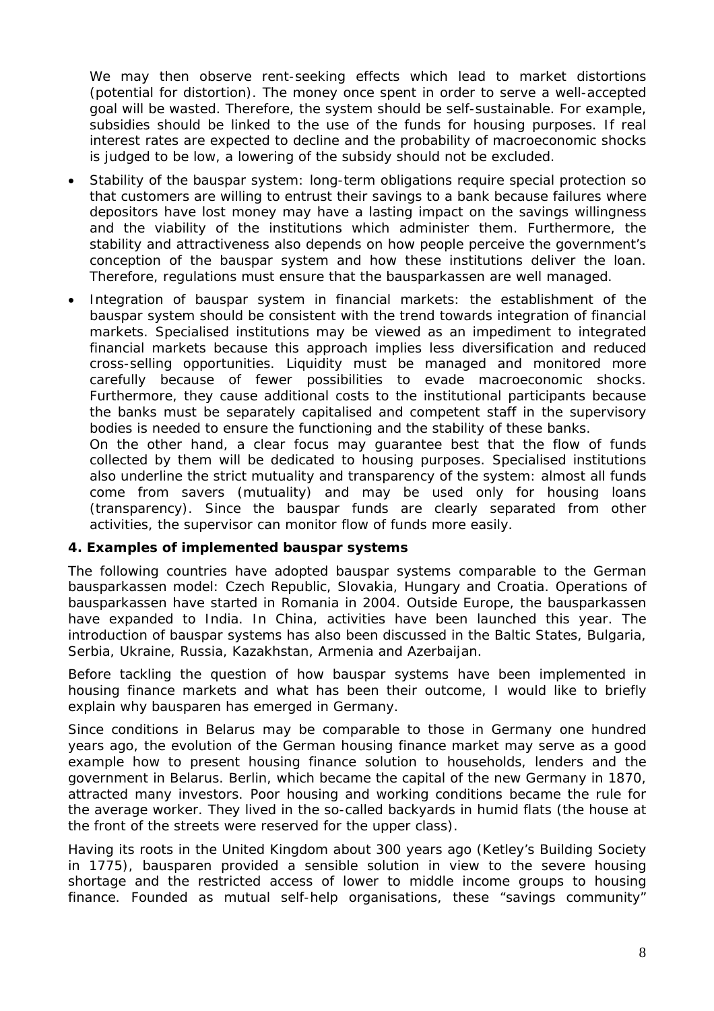We may then observe rent-seeking effects which lead to market distortions (potential for distortion). The money once spent in order to serve a well-accepted goal will be wasted. Therefore, the system should be self-sustainable. For example, subsidies should be linked to the use of the funds for housing purposes. If real interest rates are expected to decline and the probability of macroeconomic shocks is judged to be low, a lowering of the subsidy should not be excluded.

- Stability of the bauspar system: long-term obligations require special protection so that customers are willing to entrust their savings to a bank because failures where depositors have lost money may have a lasting impact on the savings willingness and the viability of the institutions which administer them. Furthermore, the stability and attractiveness also depends on how people perceive the government's conception of the bauspar system and how these institutions deliver the loan. Therefore, regulations must ensure that the bausparkassen are well managed.
- Integration of bauspar system in financial markets: the establishment of the bauspar system should be consistent with the trend towards integration of financial markets. Specialised institutions may be viewed as an impediment to integrated financial markets because this approach implies less diversification and reduced cross-selling opportunities. Liquidity must be managed and monitored more carefully because of fewer possibilities to evade macroeconomic shocks. Furthermore, they cause additional costs to the institutional participants because the banks must be separately capitalised and competent staff in the supervisory bodies is needed to ensure the functioning and the stability of these banks.

On the other hand, a clear focus may guarantee best that the flow of funds collected by them will be dedicated to housing purposes. Specialised institutions also underline the strict mutuality and transparency of the system: almost all funds come from savers (mutuality) and may be used only for housing loans (transparency). Since the bauspar funds are clearly separated from other activities, the supervisor can monitor flow of funds more easily.

## **4. Examples of implemented bauspar systems**

The following countries have adopted bauspar systems comparable to the German bausparkassen model: Czech Republic, Slovakia, Hungary and Croatia. Operations of bausparkassen have started in Romania in 2004. Outside Europe, the bausparkassen have expanded to India. In China, activities have been launched this year. The introduction of bauspar systems has also been discussed in the Baltic States, Bulgaria, Serbia, Ukraine, Russia, Kazakhstan, Armenia and Azerbaijan.

Before tackling the question of how bauspar systems have been implemented in housing finance markets and what has been their outcome, I would like to briefly explain why bausparen has emerged in Germany.

Since conditions in Belarus may be comparable to those in Germany one hundred years ago, the evolution of the German housing finance market may serve as a good example how to present housing finance solution to households, lenders and the government in Belarus. Berlin, which became the capital of the new Germany in 1870, attracted many investors. Poor housing and working conditions became the rule for the average worker. They lived in the so-called backyards in humid flats (the house at the front of the streets were reserved for the upper class).

Having its roots in the United Kingdom about 300 years ago (Ketley's Building Society in 1775), bausparen provided a sensible solution in view to the severe housing shortage and the restricted access of lower to middle income groups to housing finance. Founded as mutual self-help organisations, these "savings community"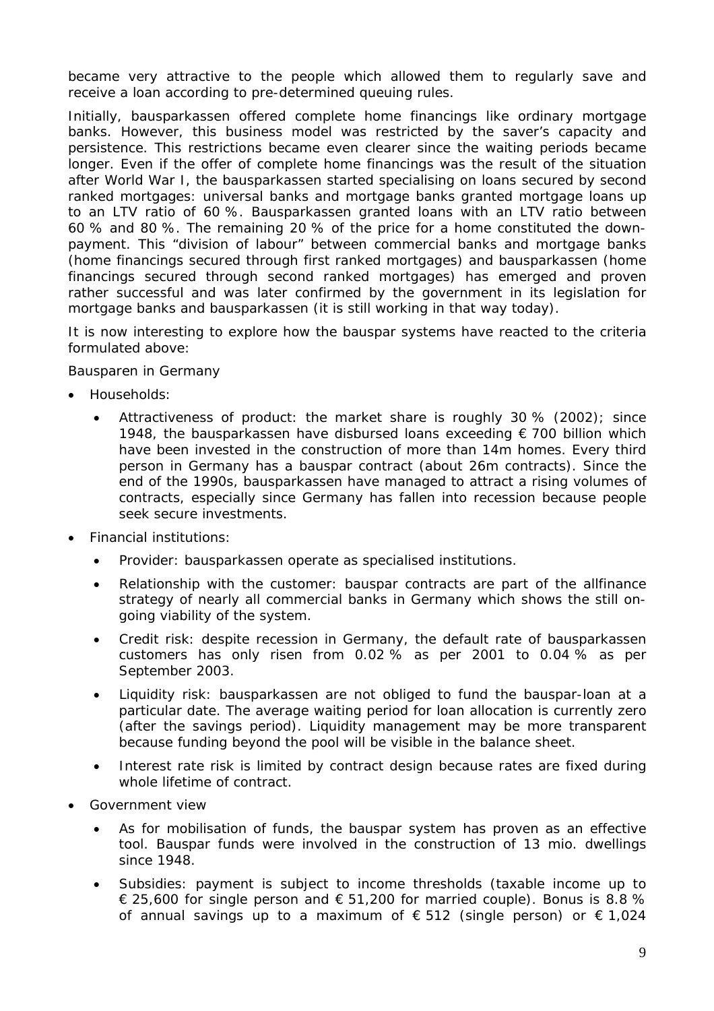became very attractive to the people which allowed them to regularly save and receive a loan according to pre-determined queuing rules.

Initially, bausparkassen offered complete home financings like ordinary mortgage banks. However, this business model was restricted by the saver's capacity and persistence. This restrictions became even clearer since the waiting periods became longer. Even if the offer of complete home financings was the result of the situation after World War I, the bausparkassen started specialising on loans secured by second ranked mortgages: universal banks and mortgage banks granted mortgage loans up to an LTV ratio of 60 %. Bausparkassen granted loans with an LTV ratio between 60 % and 80 %. The remaining 20 % of the price for a home constituted the downpayment. This "division of labour" between commercial banks and mortgage banks (home financings secured through first ranked mortgages) and bausparkassen (home financings secured through second ranked mortgages) has emerged and proven rather successful and was later confirmed by the government in its legislation for mortgage banks and bausparkassen (it is still working in that way today).

It is now interesting to explore how the bauspar systems have reacted to the criteria formulated above:

## *Bausparen in Germany*

- Households:
	- Attractiveness of product: the market share is roughly 30 % (2002); since 1948, the bausparkassen have disbursed loans exceeding € 700 billion which have been invested in the construction of more than 14m homes. Every third person in Germany has a bauspar contract (about 26m contracts). Since the end of the 1990s, bausparkassen have managed to attract a rising volumes of contracts, especially since Germany has fallen into recession because people seek secure investments.
- Financial institutions:
	- Provider: bausparkassen operate as specialised institutions.
	- Relationship with the customer: bauspar contracts are part of the allfinance strategy of nearly all commercial banks in Germany which shows the still ongoing viability of the system.
	- Credit risk: despite recession in Germany, the default rate of bausparkassen customers has only risen from 0.02 % as per 2001 to 0.04 % as per September 2003.
	- Liquidity risk: bausparkassen are not obliged to fund the bauspar-loan at a particular date. The average waiting period for loan allocation is currently zero (after the savings period). Liquidity management may be more transparent because funding beyond the pool will be visible in the balance sheet.
	- Interest rate risk is limited by contract design because rates are fixed during whole lifetime of contract.
- Government view
	- As for mobilisation of funds, the bauspar system has proven as an effective tool. Bauspar funds were involved in the construction of 13 mio. dwellings since 1948.
	- Subsidies: payment is subject to income thresholds (taxable income up to € 25,600 for single person and  $€ 51,200$  for married couple). Bonus is 8.8 % of annual savings up to a maximum of  $\epsilon$  512 (single person) or  $\epsilon$  1,024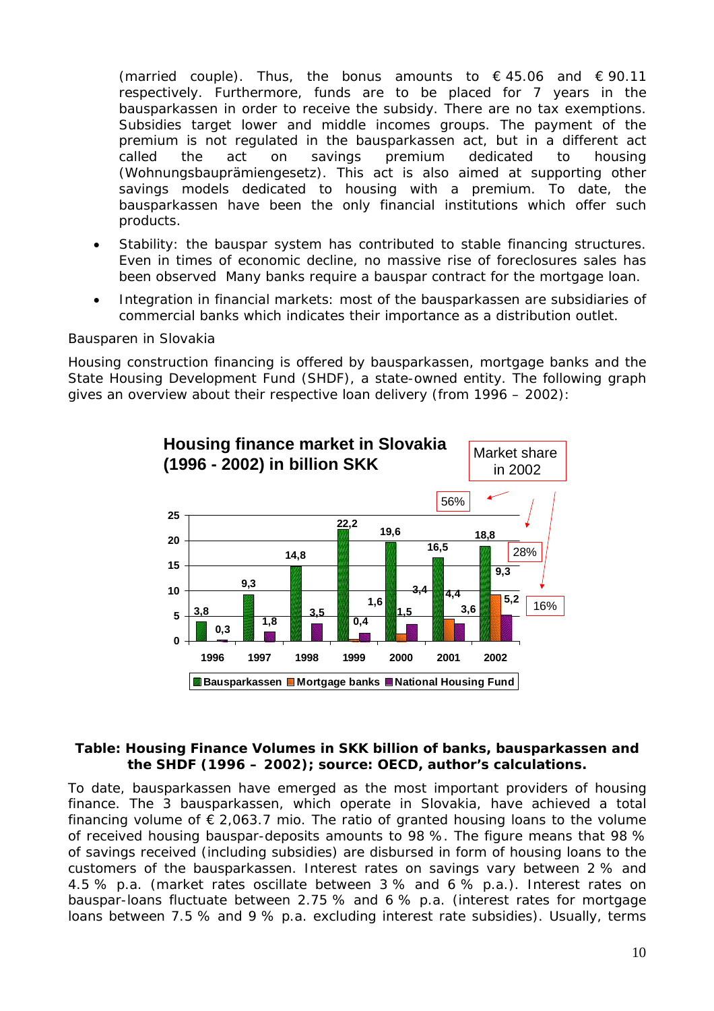(married couple). Thus, the bonus amounts to  $\epsilon$  45.06 and  $\epsilon$  90.11 respectively. Furthermore, funds are to be placed for 7 years in the bausparkassen in order to receive the subsidy. There are no tax exemptions. Subsidies target lower and middle incomes groups. The payment of the premium is not regulated in the bausparkassen act, but in a different act called the act on savings premium dedicated to housing (Wohnungsbauprämiengesetz). This act is also aimed at supporting other savings models dedicated to housing with a premium. To date, the bausparkassen have been the only financial institutions which offer such products.

- Stability: the bauspar system has contributed to stable financing structures. Even in times of economic decline, no massive rise of foreclosures sales has been observed Many banks require a bauspar contract for the mortgage loan.
- Integration in financial markets: most of the bausparkassen are subsidiaries of commercial banks which indicates their importance as a distribution outlet.

#### *Bausparen in Slovakia*

Housing construction financing is offered by bausparkassen, mortgage banks and the State Housing Development Fund (SHDF), a state-owned entity. The following graph gives an overview about their respective loan delivery (from 1996 – 2002):



#### **Table: Housing Finance Volumes in SKK billion of banks, bausparkassen and the SHDF (1996 – 2002); source: OECD, author's calculations.**

To date, bausparkassen have emerged as the most important providers of housing finance. The 3 bausparkassen, which operate in Slovakia, have achieved a total financing volume of  $\epsilon$  2,063.7 mio. The ratio of granted housing loans to the volume of received housing bauspar-deposits amounts to 98 %. The figure means that 98 % of savings received (including subsidies) are disbursed in form of housing loans to the customers of the bausparkassen. Interest rates on savings vary between 2 % and 4.5 % p.a. (market rates oscillate between 3 % and 6 % p.a.). Interest rates on bauspar-loans fluctuate between 2.75 % and 6 % p.a. (interest rates for mortgage loans between 7.5 % and 9 % p.a. excluding interest rate subsidies). Usually, terms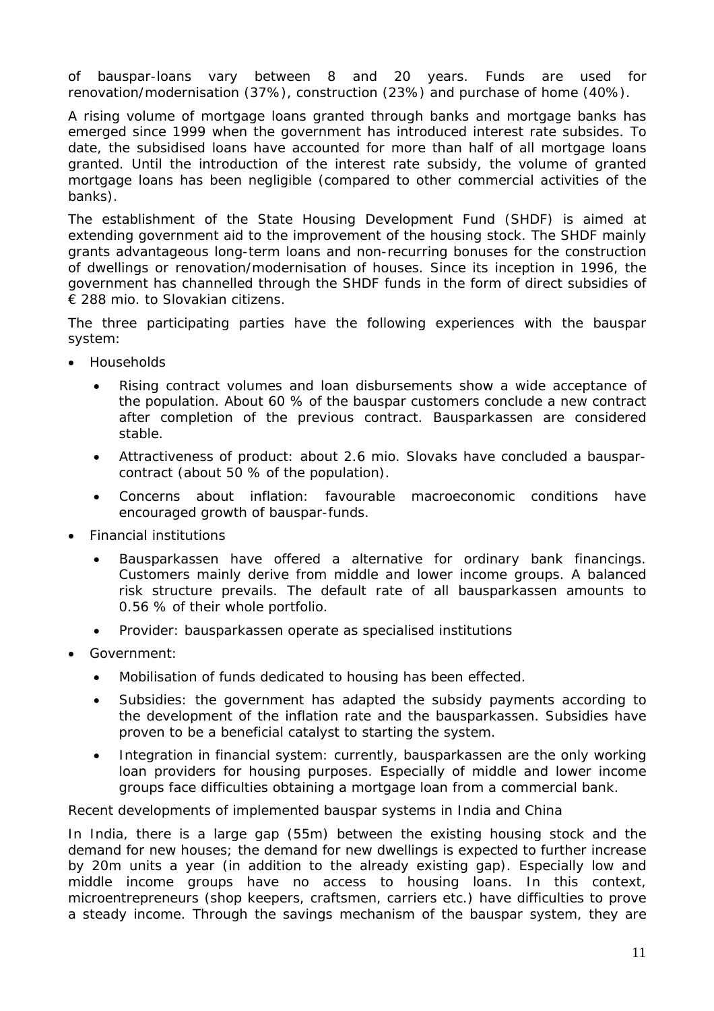of bauspar-loans vary between 8 and 20 years. Funds are used for renovation/modernisation (37%), construction (23%) and purchase of home (40%).

A rising volume of mortgage loans granted through banks and mortgage banks has emerged since 1999 when the government has introduced interest rate subsides. To date, the subsidised loans have accounted for more than half of all mortgage loans granted. Until the introduction of the interest rate subsidy, the volume of granted mortgage loans has been negligible (compared to other commercial activities of the banks).

The establishment of the State Housing Development Fund (SHDF) is aimed at extending government aid to the improvement of the housing stock. The SHDF mainly grants advantageous long-term loans and non-recurring bonuses for the construction of dwellings or renovation/modernisation of houses. Since its inception in 1996, the government has channelled through the SHDF funds in the form of direct subsidies of € 288 mio. to Slovakian citizens.

The three participating parties have the following experiences with the bauspar system:

- Households
	- Rising contract volumes and loan disbursements show a wide acceptance of the population. About 60 % of the bauspar customers conclude a new contract after completion of the previous contract. Bausparkassen are considered stable.
	- Attractiveness of product: about 2.6 mio. Slovaks have concluded a bausparcontract (about 50 % of the population).
	- Concerns about inflation: favourable macroeconomic conditions have encouraged growth of bauspar-funds.
- Financial institutions
	- Bausparkassen have offered a alternative for ordinary bank financings. Customers mainly derive from middle and lower income groups. A balanced risk structure prevails. The default rate of all bausparkassen amounts to 0.56 % of their whole portfolio.
	- Provider: bausparkassen operate as specialised institutions
- Government:
	- Mobilisation of funds dedicated to housing has been effected.
	- Subsidies: the government has adapted the subsidy payments according to the development of the inflation rate and the bausparkassen. Subsidies have proven to be a beneficial catalyst to starting the system.
	- Integration in financial system: currently, bausparkassen are the only working loan providers for housing purposes. Especially of middle and lower income groups face difficulties obtaining a mortgage loan from a commercial bank.

#### *Recent developments of implemented bauspar systems in India and China*

In India, there is a large gap (55m) between the existing housing stock and the demand for new houses; the demand for new dwellings is expected to further increase by 20m units a year (in addition to the already existing gap). Especially low and middle income groups have no access to housing loans. In this context, microentrepreneurs (shop keepers, craftsmen, carriers etc.) have difficulties to prove a steady income. Through the savings mechanism of the bauspar system, they are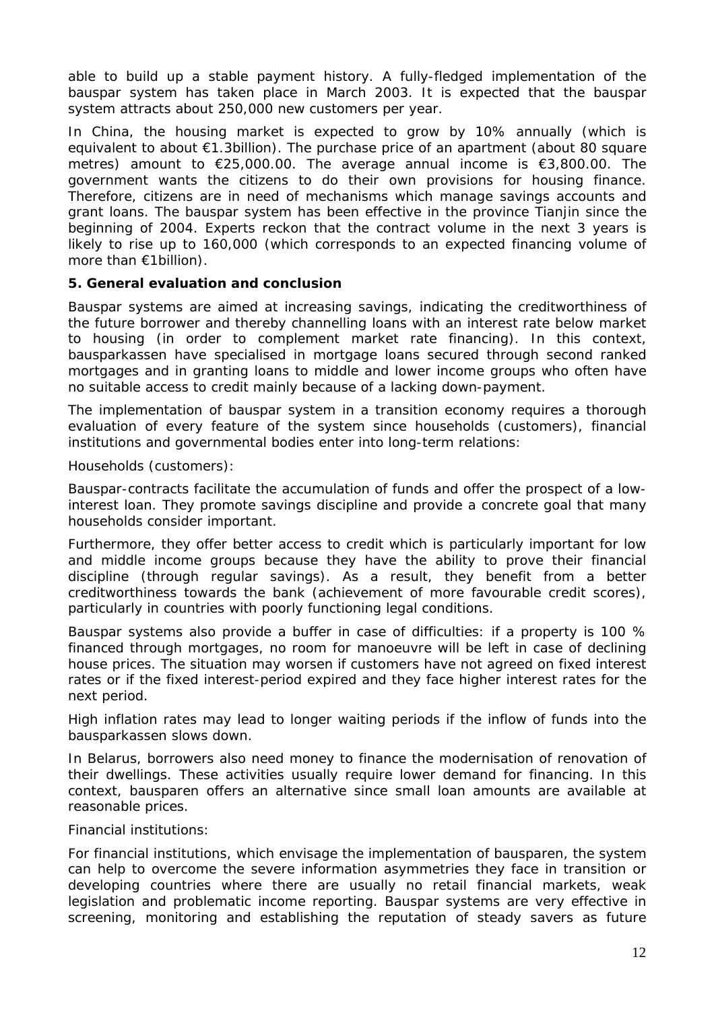able to build up a stable payment history. A fully-fledged implementation of the bauspar system has taken place in March 2003. It is expected that the bauspar system attracts about 250,000 new customers per year.

In China, the housing market is expected to grow by 10% annually (which is equivalent to about €1.3billion). The purchase price of an apartment (about 80 square metres) amount to €25,000.00. The average annual income is €3,800.00. The government wants the citizens to do their own provisions for housing finance. Therefore, citizens are in need of mechanisms which manage savings accounts and grant loans. The bauspar system has been effective in the province Tianjin since the beginning of 2004. Experts reckon that the contract volume in the next 3 years is likely to rise up to 160,000 (which corresponds to an expected financing volume of more than €1billion).

## **5. General evaluation and conclusion**

Bauspar systems are aimed at increasing savings, indicating the creditworthiness of the future borrower and thereby channelling loans with an interest rate below market to housing (in order to complement market rate financing). In this context, bausparkassen have specialised in mortgage loans secured through second ranked mortgages and in granting loans to middle and lower income groups who often have no suitable access to credit mainly because of a lacking down-payment.

The implementation of bauspar system in a transition economy requires a thorough evaluation of every feature of the system since households (customers), financial institutions and governmental bodies enter into long-term relations:

#### *Households (customers):*

Bauspar-contracts facilitate the accumulation of funds and offer the prospect of a lowinterest loan. They promote savings discipline and provide a concrete goal that many households consider important.

Furthermore, they offer better access to credit which is particularly important for low and middle income groups because they have the ability to prove their financial discipline (through regular savings). As a result, they benefit from a better creditworthiness towards the bank (achievement of more favourable credit scores), particularly in countries with poorly functioning legal conditions.

Bauspar systems also provide a buffer in case of difficulties: if a property is 100 % financed through mortgages, no room for manoeuvre will be left in case of declining house prices. The situation may worsen if customers have not agreed on fixed interest rates or if the fixed interest-period expired and they face higher interest rates for the next period.

High inflation rates may lead to longer waiting periods if the inflow of funds into the bausparkassen slows down.

In Belarus, borrowers also need money to finance the modernisation of renovation of their dwellings. These activities usually require lower demand for financing. In this context, bausparen offers an alternative since small loan amounts are available at reasonable prices.

#### *Financial institutions:*

For financial institutions, which envisage the implementation of bausparen, the system can help to overcome the severe information asymmetries they face in transition or developing countries where there are usually no retail financial markets, weak legislation and problematic income reporting. Bauspar systems are very effective in screening, monitoring and establishing the reputation of steady savers as future